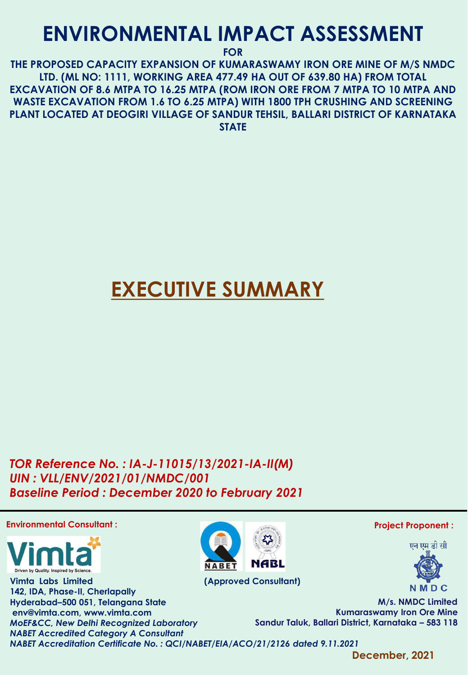## **ENVIRONMENTAL IMPACT ASSESSMENT**

**FOR** 

**THE PROPOSED CAPACITY EXPANSION OF KUMARASWAMY IRON ORE MINE OF M/S NMDC LTD. (ML NO: 1111, WORKING AREA 477.49 HA OUT OF 639.80 HA) FROM TOTAL EXCAVATION OF 8.6 MTPA TO 16.25 MTPA (ROM IRON ORE FROM 7 MTPA TO 10 MTPA AND WASTE EXCAVATION FROM 1.6 TO 6.25 MTPA) WITH 1800 TPH CRUSHING AND SCREENING PLANT LOCATED AT DEOGIRI VILLAGE OF SANDUR TEHSIL, BALLARI DISTRICT OF KARNATAKA STATE**

# **EXECUTIVE SUMMARY**

**NABL** 

*TOR Reference No. : IA-J-11015/13/2021-IA-II(M) UIN : VLL/ENV/2021/01/NMDC/001 Baseline Period : December 2020 to February 2021*

### **Environmental Consultant :**



**Vimta Labs Limited (Approved Consultant) 142, IDA, Phase-II, Cherlapally Hyderabad–500 051, Telangana State env@vimta.com, www.vimta.com** *MoEF&CC, New Delhi Recognized Laboratory NABET Accredited Category A Consultant NABET Accreditation Certificate No. : QCI/NABET/EIA/ACO/21/2126 dated 9.11.2021*





**M/s. NMDC Limited Kumaraswamy Iron Ore Mine Sandur Taluk, Ballari District, Karnataka – 583 118**

**December, 2021**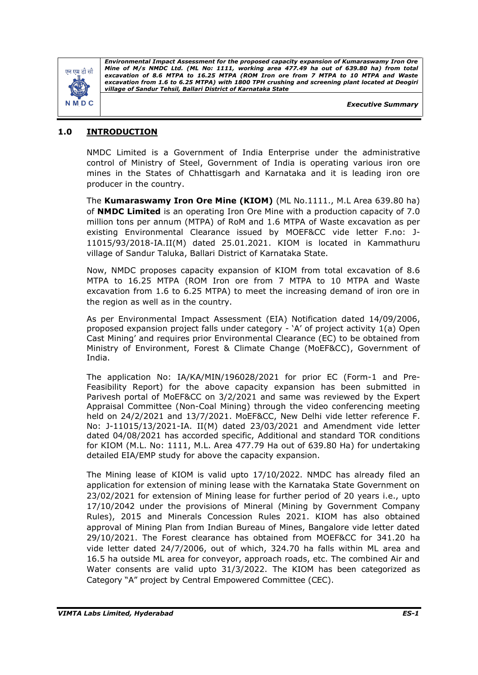

*Executive Summary*

## **1.0 INTRODUCTION**

NMDC Limited is a Government of India Enterprise under the administrative control of Ministry of Steel, Government of India is operating various iron ore mines in the States of Chhattisgarh and Karnataka and it is leading iron ore producer in the country.

The **Kumaraswamy Iron Ore Mine (KIOM)** (ML No.1111., M.L Area 639.80 ha) of **NMDC Limited** is an operating Iron Ore Mine with a production capacity of 7.0 million tons per annum (MTPA) of RoM and 1.6 MTPA of Waste excavation as per existing Environmental Clearance issued by MOEF&CC vide letter F.no: J-11015/93/2018-IA.II(M) dated 25.01.2021. KIOM is located in Kammathuru village of Sandur Taluka, Ballari District of Karnataka State.

Now, NMDC proposes capacity expansion of KIOM from total excavation of 8.6 MTPA to 16.25 MTPA (ROM Iron ore from 7 MTPA to 10 MTPA and Waste excavation from 1.6 to 6.25 MTPA) to meet the increasing demand of iron ore in the region as well as in the country.

As per Environmental Impact Assessment (EIA) Notification dated 14/09/2006, proposed expansion project falls under category - 'A' of project activity 1(a) Open Cast Mining' and requires prior Environmental Clearance (EC) to be obtained from Ministry of Environment, Forest & Climate Change (MoEF&CC), Government of India.

The application No: IA/KA/MIN/196028/2021 for prior EC (Form-1 and Pre-Feasibility Report) for the above capacity expansion has been submitted in Parivesh portal of MoEF&CC on 3/2/2021 and same was reviewed by the Expert Appraisal Committee (Non-Coal Mining) through the video conferencing meeting held on 24/2/2021 and 13/7/2021. MoEF&CC, New Delhi vide letter reference F. No: J-11015/13/2021-IA. II(M) dated 23/03/2021 and Amendment vide letter dated 04/08/2021 has accorded specific, Additional and standard TOR conditions for KIOM (M.L. No: 1111, M.L. Area 477.79 Ha out of 639.80 Ha) for undertaking detailed EIA/EMP study for above the capacity expansion.

The Mining lease of KIOM is valid upto 17/10/2022. NMDC has already filed an application for extension of mining lease with the Karnataka State Government on 23/02/2021 for extension of Mining lease for further period of 20 years i.e., upto 17/10/2042 under the provisions of Mineral (Mining by Government Company Rules), 2015 and Minerals Concession Rules 2021. KIOM has also obtained approval of Mining Plan from Indian Bureau of Mines, Bangalore vide letter dated 29/10/2021. The Forest clearance has obtained from MOEF&CC for 341.20 ha vide letter dated 24/7/2006, out of which, 324.70 ha falls within ML area and 16.5 ha outside ML area for conveyor, approach roads, etc. The combined Air and Water consents are valid upto 31/3/2022. The KIOM has been categorized as Category "A" project by Central Empowered Committee (CEC).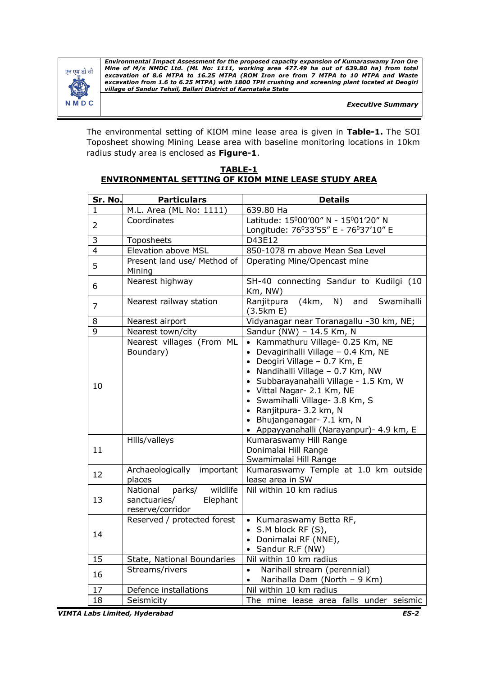

*Executive Summary*

The environmental setting of KIOM mine lease area is given in **Table-1.** The SOI Toposheet showing Mining Lease area with baseline monitoring locations in 10km radius study area is enclosed as **Figure-1**.

**TABLE-1 ENVIRONMENTAL SETTING OF KIOM MINE LEASE STUDY AREA**

| Sr. No.        | <b>Particulars</b>                                                             | <b>Details</b>                                                                                                                                                                                                                                                                                                                                                   |
|----------------|--------------------------------------------------------------------------------|------------------------------------------------------------------------------------------------------------------------------------------------------------------------------------------------------------------------------------------------------------------------------------------------------------------------------------------------------------------|
| 1              | M.L. Area (ML No: 1111)                                                        | 639.80 Ha                                                                                                                                                                                                                                                                                                                                                        |
| $\overline{2}$ | Coordinates                                                                    | Latitude: 15°00'00" N - 15°01'20" N<br>Longitude: 76°33'55" E - 76°37'10" E                                                                                                                                                                                                                                                                                      |
| 3              | Toposheets                                                                     | D43E12                                                                                                                                                                                                                                                                                                                                                           |
| $\overline{4}$ | Elevation above MSL                                                            | 850-1078 m above Mean Sea Level                                                                                                                                                                                                                                                                                                                                  |
| 5              | Present land use/ Method of<br>Mining                                          | Operating Mine/Opencast mine                                                                                                                                                                                                                                                                                                                                     |
| 6              | Nearest highway                                                                | SH-40 connecting Sandur to Kudilgi (10<br>Km, NW)                                                                                                                                                                                                                                                                                                                |
| $\overline{7}$ | Nearest railway station                                                        | (4km, N)<br>and<br>Ranjitpura<br>Swamihalli<br>(3.5km E)                                                                                                                                                                                                                                                                                                         |
| 8              | Nearest airport                                                                | Vidyanagar near Toranagallu -30 km, NE;                                                                                                                                                                                                                                                                                                                          |
| $\overline{9}$ | Nearest town/city                                                              | Sandur (NW) - 14.5 Km, N                                                                                                                                                                                                                                                                                                                                         |
| 10             | Nearest villages (From ML<br>Boundary)                                         | • Kammathuru Village- 0.25 Km, NE<br>• Devagirihalli Village - 0.4 Km, NE<br>• Deogiri Village - 0.7 Km, E<br>• Nandihalli Village - 0.7 Km, NW<br>· Subbarayanahalli Village - 1.5 Km, W<br>• Vittal Nagar- 2.1 Km, NE<br>· Swamihalli Village- 3.8 Km, S<br>• Ranjitpura- 3.2 km, N<br>• Bhujanganagar- 7.1 km, N<br>• Appayyanahalli (Narayanpur) - 4.9 km, E |
| 11             | Hills/valleys                                                                  | Kumaraswamy Hill Range<br>Donimalai Hill Range<br>Swamimalai Hill Range                                                                                                                                                                                                                                                                                          |
| 12             | Archaeologically<br>important<br>places                                        | Kumaraswamy Temple at 1.0 km outside<br>lease area in SW                                                                                                                                                                                                                                                                                                         |
| 13             | wildlife<br>parks/<br>National<br>Elephant<br>sanctuaries/<br>reserve/corridor | Nil within 10 km radius                                                                                                                                                                                                                                                                                                                                          |
| 14             | Reserved / protected forest                                                    | • Kumaraswamy Betta RF,<br>• S.M block RF $(S)$ ,<br>• Donimalai RF (NNE),<br>Sandur R.F (NW)<br>$\bullet$                                                                                                                                                                                                                                                       |
| 15             | State, National Boundaries                                                     | Nil within 10 km radius                                                                                                                                                                                                                                                                                                                                          |
| 16             | Streams/rivers                                                                 | Narihall stream (perennial)<br>$\bullet$<br>Narihalla Dam (North - 9 Km)<br>$\bullet$                                                                                                                                                                                                                                                                            |
| 17             | Defence installations                                                          | Nil within 10 km radius                                                                                                                                                                                                                                                                                                                                          |
| 18             | Seismicity                                                                     | The mine lease area falls under seismic                                                                                                                                                                                                                                                                                                                          |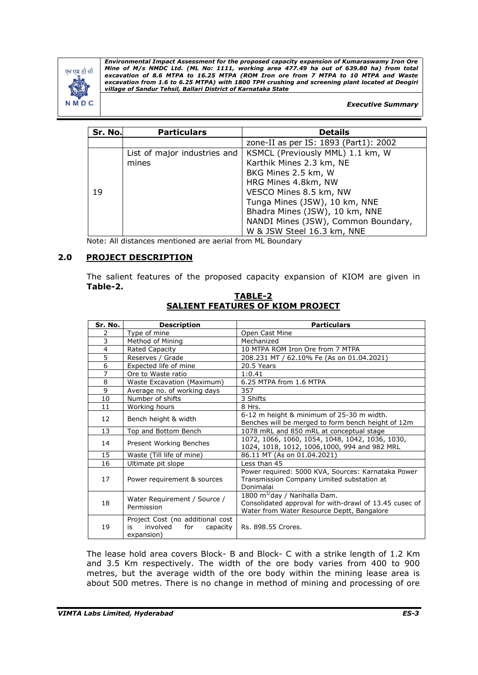

#### *Executive Summary*

| Sr. No. | <b>Particulars</b>           | <b>Details</b>                        |
|---------|------------------------------|---------------------------------------|
|         |                              | zone-II as per IS: 1893 (Part1): 2002 |
| 19      | List of major industries and | KSMCL (Previously MML) 1.1 km, W      |
|         | mines                        | Karthik Mines 2.3 km, NE              |
|         |                              | BKG Mines 2.5 km, W                   |
|         |                              | HRG Mines 4.8km, NW                   |
|         |                              | VESCO Mines 8.5 km, NW                |
|         |                              | Tunga Mines (JSW), 10 km, NNE         |
|         |                              | Bhadra Mines (JSW), 10 km, NNE        |
|         |                              | NANDI Mines (JSW), Common Boundary,   |
|         |                              | W & JSW Steel 16.3 km, NNE            |

Note: All distances mentioned are aerial from ML Boundary

#### **2.0 PROJECT DESCRIPTION**

The salient features of the proposed capacity expansion of KIOM are given in **Table-2.**

| Sr. No.        | <b>Description</b>                                                                  | <b>Particulars</b>                                                                                                                                |
|----------------|-------------------------------------------------------------------------------------|---------------------------------------------------------------------------------------------------------------------------------------------------|
| 2              | Type of mine                                                                        | Open Cast Mine                                                                                                                                    |
| 3              | Method of Mining                                                                    | Mechanized                                                                                                                                        |
| $\overline{4}$ | Rated Capacity                                                                      | 10 MTPA ROM Iron Ore from 7 MTPA                                                                                                                  |
| 5              | Reserves / Grade                                                                    | 208.231 MT / 62.10% Fe (As on 01.04.2021)                                                                                                         |
| 6              | Expected life of mine                                                               | 20.5 Years                                                                                                                                        |
| 7              | Ore to Waste ratio                                                                  | 1:0.41                                                                                                                                            |
| 8              | Waste Excavation (Maximum)                                                          | 6.25 MTPA from 1.6 MTPA                                                                                                                           |
| 9              | Average no. of working days                                                         | 357                                                                                                                                               |
| 10             | Number of shifts                                                                    | 3 Shifts                                                                                                                                          |
| 11             | Working hours                                                                       | 8 Hrs.                                                                                                                                            |
| 12             | Bench height & width                                                                | 6-12 m height & minimum of 25-30 m width.<br>Benches will be merged to form bench height of 12m                                                   |
| 13             | Top and Bottom Bench                                                                | 1078 mRL and 850 mRL at conceptual stage                                                                                                          |
| 14             | Present Working Benches                                                             | 1072, 1066, 1060, 1054, 1048, 1042, 1036, 1030,<br>1024, 1018, 1012, 1006, 1000, 994 and 982 MRL                                                  |
| 15             | Waste (Till life of mine)                                                           | 86.11 MT (As on 01.04.2021)                                                                                                                       |
| 16             | Ultimate pit slope                                                                  | Less than 45                                                                                                                                      |
| 17             | Power requirement & sources                                                         | Power required: 5000 KVA, Sources: Karnataka Power<br>Transmission Company Limited substation at<br>Donimalai                                     |
| 18             | Water Requirement / Source /<br>Permission                                          | 1800 m <sup>3/</sup> day / Narihalla Dam.<br>Consolidated approval for with-drawl of 13.45 cusec of<br>Water from Water Resource Deptt, Bangalore |
| 19             | Project Cost (no additional cost<br>involved<br>for<br>is<br>capacity<br>expansion) | Rs. 898.55 Crores.                                                                                                                                |

**TABLE-2 SALIENT FEATURES OF KIOM PROJECT**

The lease hold area covers Block- B and Block- C with a strike length of 1.2 Km and 3.5 Km respectively. The width of the ore body varies from 400 to 900 metres, but the average width of the ore body within the mining lease area is about 500 metres. There is no change in method of mining and processing of ore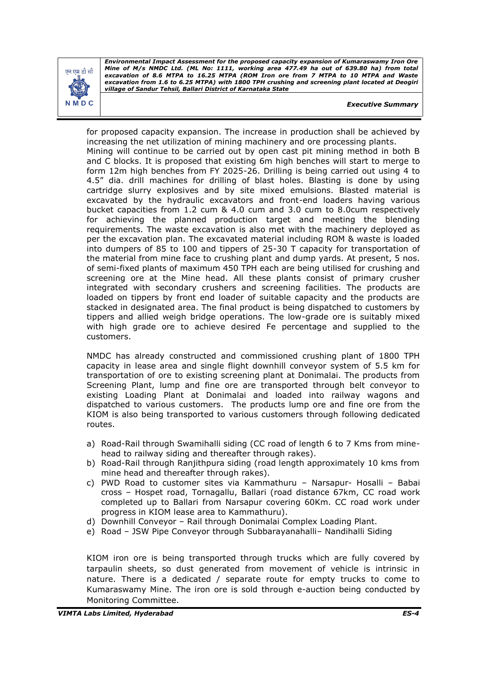

*Executive Summary*

for proposed capacity expansion. The increase in production shall be achieved by increasing the net utilization of mining machinery and ore processing plants. Mining will continue to be carried out by open cast pit mining method in both B and C blocks. It is proposed that existing 6m high benches will start to merge to form 12m high benches from FY 2025-26. Drilling is being carried out using 4 to 4.5" dia. drill machines for drilling of blast holes. Blasting is done by using cartridge slurry explosives and by site mixed emulsions. Blasted material is excavated by the hydraulic excavators and front-end loaders having various bucket capacities from 1.2 cum & 4.0 cum and 3.0 cum to 8.0cum respectively for achieving the planned production target and meeting the blending requirements. The waste excavation is also met with the machinery deployed as per the excavation plan. The excavated material including ROM & waste is loaded into dumpers of 85 to 100 and tippers of 25-30 T capacity for transportation of the material from mine face to crushing plant and dump yards. At present, 5 nos. of semi-fixed plants of maximum 450 TPH each are being utilised for crushing and screening ore at the Mine head. All these plants consist of primary crusher integrated with secondary crushers and screening facilities. The products are loaded on tippers by front end loader of suitable capacity and the products are stacked in designated area. The final product is being dispatched to customers by tippers and allied weigh bridge operations. The low-grade ore is suitably mixed with high grade ore to achieve desired Fe percentage and supplied to the customers.

NMDC has already constructed and commissioned crushing plant of 1800 TPH capacity in lease area and single flight downhill conveyor system of 5.5 km for transportation of ore to existing screening plant at Donimalai. The products from Screening Plant, lump and fine ore are transported through belt conveyor to existing Loading Plant at Donimalai and loaded into railway wagons and dispatched to various customers. The products lump ore and fine ore from the KIOM is also being transported to various customers through following dedicated routes.

- a) Road-Rail through Swamihalli siding (CC road of length 6 to 7 Kms from minehead to railway siding and thereafter through rakes).
- b) Road-Rail through Ranjithpura siding (road length approximately 10 kms from mine head and thereafter through rakes).
- c) PWD Road to customer sites via Kammathuru Narsapur- Hosalli Babai cross – Hospet road, Tornagallu, Ballari (road distance 67km, CC road work completed up to Ballari from Narsapur covering 60Km. CC road work under progress in KIOM lease area to Kammathuru).
- d) Downhill Conveyor Rail through Donimalai Complex Loading Plant.
- e) Road JSW Pipe Conveyor through Subbarayanahalli– Nandihalli Siding

KIOM iron ore is being transported through trucks which are fully covered by tarpaulin sheets, so dust generated from movement of vehicle is intrinsic in nature. There is a dedicated / separate route for empty trucks to come to Kumaraswamy Mine. The iron ore is sold through e-auction being conducted by Monitoring Committee.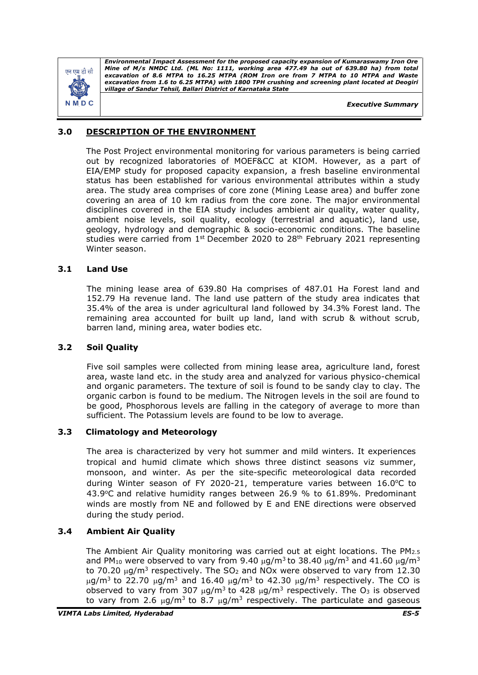

*Executive Summary*

## **3.0 DESCRIPTION OF THE ENVIRONMENT**

The Post Project environmental monitoring for various parameters is being carried out by recognized laboratories of MOEF&CC at KIOM. However, as a part of EIA/EMP study for proposed capacity expansion, a fresh baseline environmental status has been established for various environmental attributes within a study area. The study area comprises of core zone (Mining Lease area) and buffer zone covering an area of 10 km radius from the core zone. The major environmental disciplines covered in the EIA study includes ambient air quality, water quality, ambient noise levels, soil quality, ecology (terrestrial and aquatic), land use, geology, hydrology and demographic & socio-economic conditions. The baseline studies were carried from  $1^{st}$  December 2020 to 28<sup>th</sup> February 2021 representing Winter season.

## **3.1 Land Use**

The mining lease area of 639.80 Ha comprises of 487.01 Ha Forest land and 152.79 Ha revenue land. The land use pattern of the study area indicates that 35.4% of the area is under agricultural land followed by 34.3% Forest land. The remaining area accounted for built up land, land with scrub & without scrub, barren land, mining area, water bodies etc.

## **3.2 Soil Quality**

Five soil samples were collected from mining lease area, agriculture land, forest area, waste land etc. in the study area and analyzed for various physico-chemical and organic parameters. The texture of soil is found to be sandy clay to clay. The organic carbon is found to be medium. The Nitrogen levels in the soil are found to be good, Phosphorous levels are falling in the category of average to more than sufficient. The Potassium levels are found to be low to average.

## **3.3 Climatology and Meteorology**

The area is characterized by very hot summer and mild winters. It experiences tropical and humid climate which shows three distinct seasons viz summer, monsoon, and winter. As per the site-specific meteorological data recorded during Winter season of FY 2020-21, temperature varies between  $16.0$ °C to 43.9°C and relative humidity ranges between 26.9 % to 61.89%. Predominant winds are mostly from NE and followed by E and ENE directions were observed during the study period.

## **3.4 Ambient Air Quality**

The Ambient Air Quality monitoring was carried out at eight locations. The  $PM_{2.5}$ and PM<sub>10</sub> were observed to vary from 9.40  $\mu$ g/m<sup>3</sup> to 38.40  $\mu$ g/m<sup>3</sup> and 41.60  $\mu$ g/m<sup>3</sup> to 70.20  $\mu$ g/m<sup>3</sup> respectively. The SO<sub>2</sub> and NOx were observed to vary from 12.30  $\mu$ g/m<sup>3</sup> to 22.70  $\mu$ g/m<sup>3</sup> and 16.40  $\mu$ g/m<sup>3</sup> to 42.30  $\mu$ g/m<sup>3</sup> respectively. The CO is observed to vary from 307  $\mu$ g/m<sup>3</sup> to 428  $\mu$ g/m<sup>3</sup> respectively. The O<sub>3</sub> is observed to vary from 2.6  $\mu$ g/m<sup>3</sup> to 8.7  $\mu$ g/m<sup>3</sup> respectively. The particulate and gaseous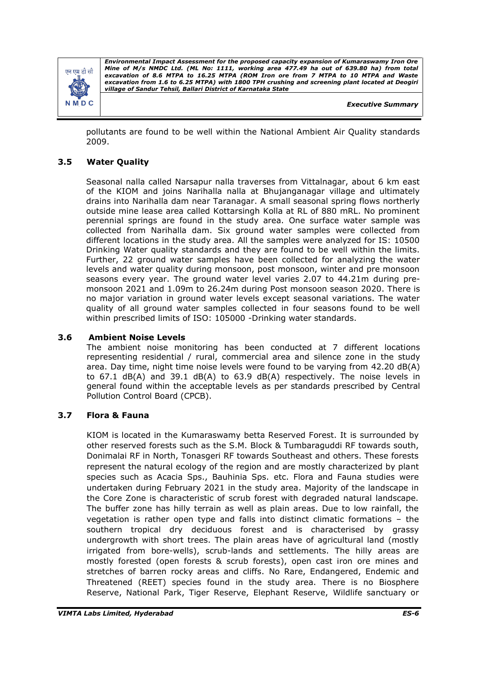

*Executive Summary*

pollutants are found to be well within the National Ambient Air Quality standards 2009.

## **3.5 Water Quality**

Seasonal nalla called Narsapur nalla traverses from Vittalnagar, about 6 km east of the KIOM and joins Narihalla nalla at Bhujanganagar village and ultimately drains into Narihalla dam near Taranagar. A small seasonal spring flows northerly outside mine lease area called Kottarsingh Kolla at RL of 880 mRL. No prominent perennial springs are found in the study area. One surface water sample was collected from Narihalla dam. Six ground water samples were collected from different locations in the study area. All the samples were analyzed for IS: 10500 Drinking Water quality standards and they are found to be well within the limits. Further, 22 ground water samples have been collected for analyzing the water levels and water quality during monsoon, post monsoon, winter and pre monsoon seasons every year. The ground water level varies 2.07 to 44.21m during premonsoon 2021 and 1.09m to 26.24m during Post monsoon season 2020. There is no major variation in ground water levels except seasonal variations. The water quality of all ground water samples collected in four seasons found to be well within prescribed limits of ISO: 105000 -Drinking water standards.

#### **3.6 Ambient Noise Levels**

The ambient noise monitoring has been conducted at 7 different locations representing residential / rural, commercial area and silence zone in the study area. Day time, night time noise levels were found to be varying from 42.20 dB(A) to 67.1 dB(A) and 39.1 dB(A) to 63.9 dB(A) respectively. The noise levels in general found within the acceptable levels as per standards prescribed by Central Pollution Control Board (CPCB).

## **3.7 Flora & Fauna**

KIOM is located in the Kumaraswamy betta Reserved Forest. It is surrounded by other reserved forests such as the S.M. Block & Tumbaraguddi RF towards south, Donimalai RF in North, Tonasgeri RF towards Southeast and others. These forests represent the natural ecology of the region and are mostly characterized by plant species such as Acacia Sps., Bauhinia Sps. etc. Flora and Fauna studies were undertaken during February 2021 in the study area. Majority of the landscape in the Core Zone is characteristic of scrub forest with degraded natural landscape. The buffer zone has hilly terrain as well as plain areas. Due to low rainfall, the vegetation is rather open type and falls into distinct climatic formations – the southern tropical dry deciduous forest and is characterised by grassy undergrowth with short trees. The plain areas have of agricultural land (mostly irrigated from bore-wells), scrub-lands and settlements. The hilly areas are mostly forested (open forests & scrub forests), open cast iron ore mines and stretches of barren rocky areas and cliffs. No Rare, Endangered, Endemic and Threatened (REET) species found in the study area. There is no Biosphere Reserve, National Park, Tiger Reserve, Elephant Reserve, Wildlife sanctuary or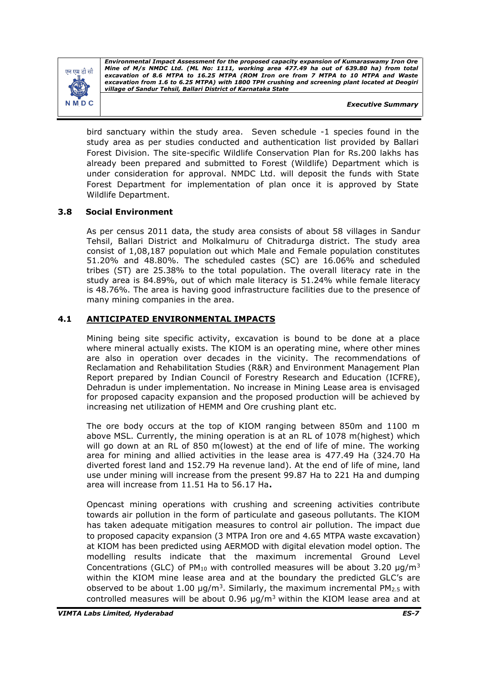

*Executive Summary*

bird sanctuary within the study area. Seven schedule -1 species found in the study area as per studies conducted and authentication list provided by Ballari Forest Division. The site-specific Wildlife Conservation Plan for Rs.200 lakhs has already been prepared and submitted to Forest (Wildlife) Department which is under consideration for approval. NMDC Ltd. will deposit the funds with State Forest Department for implementation of plan once it is approved by State Wildlife Department.

## **3.8 Social Environment**

As per census 2011 data, the study area consists of about 58 villages in Sandur Tehsil, Ballari District and Molkalmuru of Chitradurga district. The study area consist of 1,08,187 population out which Male and Female population constitutes 51.20% and 48.80%. The scheduled castes (SC) are 16.06% and scheduled tribes (ST) are 25.38% to the total population. The overall literacy rate in the study area is 84.89%, out of which male literacy is 51.24% while female literacy is 48.76%. The area is having good infrastructure facilities due to the presence of many mining companies in the area.

#### **4.1 ANTICIPATED ENVIRONMENTAL IMPACTS**

Mining being site specific activity, excavation is bound to be done at a place where mineral actually exists. The KIOM is an operating mine, where other mines are also in operation over decades in the vicinity. The recommendations of Reclamation and Rehabilitation Studies (R&R) and Environment Management Plan Report prepared by Indian Council of Forestry Research and Education (ICFRE), Dehradun is under implementation. No increase in Mining Lease area is envisaged for proposed capacity expansion and the proposed production will be achieved by increasing net utilization of HEMM and Ore crushing plant etc.

The ore body occurs at the top of KIOM ranging between 850m and 1100 m above MSL. Currently, the mining operation is at an RL of 1078 m(highest) which will go down at an RL of 850 m(lowest) at the end of life of mine. The working area for mining and allied activities in the lease area is 477.49 Ha (324.70 Ha diverted forest land and 152.79 Ha revenue land). At the end of life of mine, land use under mining will increase from the present 99.87 Ha to 221 Ha and dumping area will increase from 11.51 Ha to 56.17 Ha**.** 

Opencast mining operations with crushing and screening activities contribute towards air pollution in the form of particulate and gaseous pollutants. The KIOM has taken adequate mitigation measures to control air pollution. The impact due to proposed capacity expansion (3 MTPA Iron ore and 4.65 MTPA waste excavation) at KIOM has been predicted using AERMOD with digital elevation model option. The modelling results indicate that the maximum incremental Ground Level Concentrations (GLC) of  $PM_{10}$  with controlled measures will be about 3.20  $\mu q/m^3$ within the KIOM mine lease area and at the boundary the predicted GLC's are observed to be about 1.00  $\mu$ g/m<sup>3</sup>. Similarly, the maximum incremental PM<sub>2.5</sub> with controlled measures will be about 0.96  $\mu q/m^3$  within the KIOM lease area and at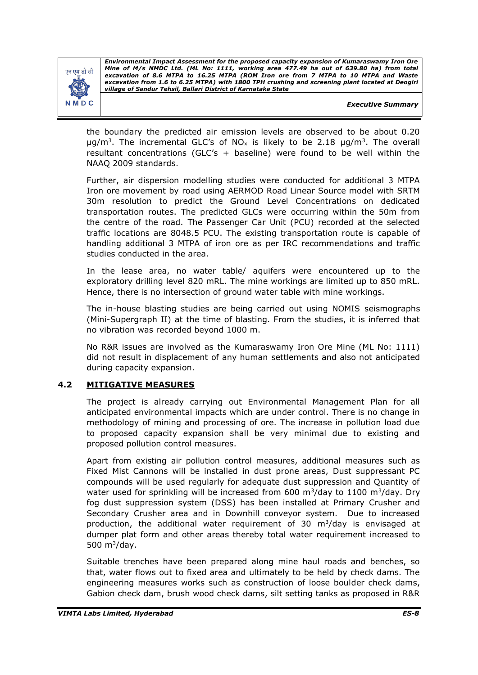

*Executive Summary*

the boundary the predicted air emission levels are observed to be about 0.20  $\mu$ g/m<sup>3</sup>. The incremental GLC's of NO<sub>x</sub> is likely to be 2.18  $\mu$ g/m<sup>3</sup>. The overall resultant concentrations (GLC's + baseline) were found to be well within the NAAQ 2009 standards.

Further, air dispersion modelling studies were conducted for additional 3 MTPA Iron ore movement by road using AERMOD Road Linear Source model with SRTM 30m resolution to predict the Ground Level Concentrations on dedicated transportation routes. The predicted GLCs were occurring within the 50m from the centre of the road. The Passenger Car Unit (PCU) recorded at the selected traffic locations are 8048.5 PCU. The existing transportation route is capable of handling additional 3 MTPA of iron ore as per IRC recommendations and traffic studies conducted in the area.

In the lease area, no water table/ aquifers were encountered up to the exploratory drilling level 820 mRL. The mine workings are limited up to 850 mRL. Hence, there is no intersection of ground water table with mine workings.

The in-house blasting studies are being carried out using NOMIS seismographs (Mini-Supergraph II) at the time of blasting. From the studies, it is inferred that no vibration was recorded beyond 1000 m.

No R&R issues are involved as the Kumaraswamy Iron Ore Mine (ML No: 1111) did not result in displacement of any human settlements and also not anticipated during capacity expansion.

## **4.2 MITIGATIVE MEASURES**

The project is already carrying out Environmental Management Plan for all anticipated environmental impacts which are under control. There is no change in methodology of mining and processing of ore. The increase in pollution load due to proposed capacity expansion shall be very minimal due to existing and proposed pollution control measures.

Apart from existing air pollution control measures, additional measures such as Fixed Mist Cannons will be installed in dust prone areas, Dust suppressant PC compounds will be used regularly for adequate dust suppression and Quantity of water used for sprinkling will be increased from 600  $\mathrm{m}^3/\mathrm{day}$  to 1100  $\mathrm{m}^3/\mathrm{day}$ . Dry fog dust suppression system (DSS) has been installed at Primary Crusher and Secondary Crusher area and in Downhill conveyor system. Due to increased production, the additional water requirement of 30  $m<sup>3</sup>/day$  is envisaged at dumper plat form and other areas thereby total water requirement increased to 500 $m^3$ /day.

Suitable trenches have been prepared along mine haul roads and benches, so that, water flows out to fixed area and ultimately to be held by check dams. The engineering measures works such as construction of loose boulder check dams, Gabion check dam, brush wood check dams, silt setting tanks as proposed in R&R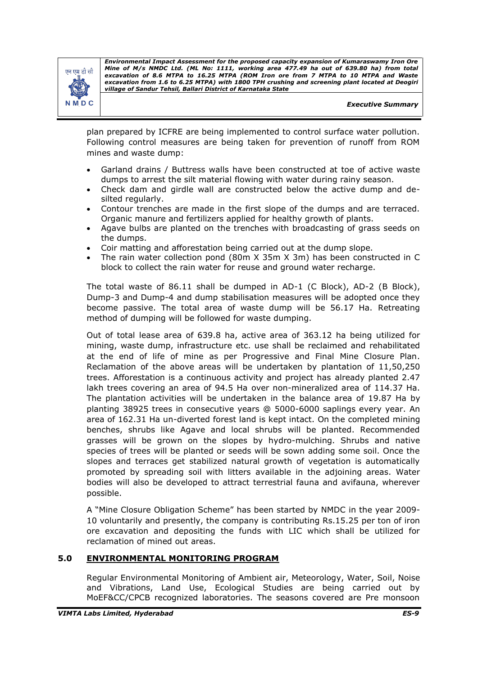

*Executive Summary*

plan prepared by ICFRE are being implemented to control surface water pollution. Following control measures are being taken for prevention of runoff from ROM mines and waste dump:

- Garland drains / Buttress walls have been constructed at toe of active waste dumps to arrest the silt material flowing with water during rainy season.
- Check dam and girdle wall are constructed below the active dump and desilted regularly.
- Contour trenches are made in the first slope of the dumps and are terraced. Organic manure and fertilizers applied for healthy growth of plants.
- Agave bulbs are planted on the trenches with broadcasting of grass seeds on the dumps.
- Coir matting and afforestation being carried out at the dump slope.
- The rain water collection pond (80m X 35m X 3m) has been constructed in C block to collect the rain water for reuse and ground water recharge.

The total waste of 86.11 shall be dumped in AD-1 (C Block), AD-2 (B Block), Dump-3 and Dump-4 and dump stabilisation measures will be adopted once they become passive. The total area of waste dump will be 56.17 Ha. Retreating method of dumping will be followed for waste dumping.

Out of total lease area of 639.8 ha, active area of 363.12 ha being utilized for mining, waste dump, infrastructure etc. use shall be reclaimed and rehabilitated at the end of life of mine as per Progressive and Final Mine Closure Plan. Reclamation of the above areas will be undertaken by plantation of 11,50,250 trees. Afforestation is a continuous activity and project has already planted 2.47 lakh trees covering an area of 94.5 Ha over non-mineralized area of 114.37 Ha. The plantation activities will be undertaken in the balance area of 19.87 Ha by planting 38925 trees in consecutive years @ 5000-6000 saplings every year. An area of 162.31 Ha un-diverted forest land is kept intact. On the completed mining benches, shrubs like Agave and local shrubs will be planted. Recommended grasses will be grown on the slopes by hydro-mulching. Shrubs and native species of trees will be planted or seeds will be sown adding some soil. Once the slopes and terraces get stabilized natural growth of vegetation is automatically promoted by spreading soil with litters available in the adjoining areas. Water bodies will also be developed to attract terrestrial fauna and avifauna, wherever possible.

A "Mine Closure Obligation Scheme" has been started by NMDC in the year 2009- 10 voluntarily and presently, the company is contributing Rs.15.25 per ton of iron ore excavation and depositing the funds with LIC which shall be utilized for reclamation of mined out areas.

## **5.0 ENVIRONMENTAL MONITORING PROGRAM**

Regular Environmental Monitoring of Ambient air, Meteorology, Water, Soil, Noise and Vibrations, Land Use, Ecological Studies are being carried out by MoEF&CC/CPCB recognized laboratories. The seasons covered are Pre monsoon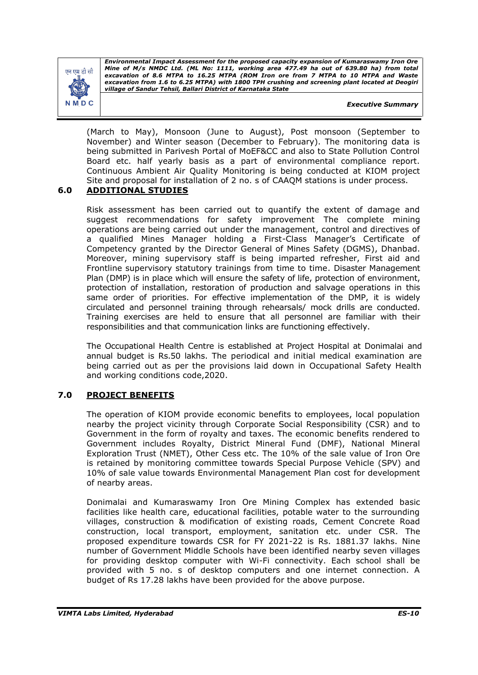

*Executive Summary*

(March to May), Monsoon (June to August), Post monsoon (September to November) and Winter season (December to February). The monitoring data is being submitted in Parivesh Portal of MoEF&CC and also to State Pollution Control Board etc. half yearly basis as a part of environmental compliance report. Continuous Ambient Air Quality Monitoring is being conducted at KIOM project Site and proposal for installation of 2 no. s of CAAQM stations is under process.

## **6.0 ADDITIONAL STUDIES**

Risk assessment has been carried out to quantify the extent of damage and suggest recommendations for safety improvement The complete mining operations are being carried out under the management, control and directives of a qualified Mines Manager holding a First-Class Manager's Certificate of Competency granted by the Director General of Mines Safety (DGMS), Dhanbad. Moreover, mining supervisory staff is being imparted refresher, First aid and Frontline supervisory statutory trainings from time to time. Disaster Management Plan (DMP) is in place which will ensure the safety of life, protection of environment, protection of installation, restoration of production and salvage operations in this same order of priorities. For effective implementation of the DMP, it is widely circulated and personnel training through rehearsals/ mock drills are conducted. Training exercises are held to ensure that all personnel are familiar with their responsibilities and that communication links are functioning effectively.

The Occupational Health Centre is established at Project Hospital at Donimalai and annual budget is Rs.50 lakhs. The periodical and initial medical examination are being carried out as per the provisions laid down in Occupational Safety Health and working conditions code,2020.

## **7.0 PROJECT BENEFITS**

The operation of KIOM provide economic benefits to employees, local population nearby the project vicinity through Corporate Social Responsibility (CSR) and to Government in the form of royalty and taxes. The economic benefits rendered to Government includes Royalty, District Mineral Fund (DMF), National Mineral Exploration Trust (NMET), Other Cess etc. The 10% of the sale value of Iron Ore is retained by monitoring committee towards Special Purpose Vehicle (SPV) and 10% of sale value towards Environmental Management Plan cost for development of nearby areas.

Donimalai and Kumaraswamy Iron Ore Mining Complex has extended basic facilities like health care, educational facilities, potable water to the surrounding villages, construction & modification of existing roads, Cement Concrete Road construction, local transport, employment, sanitation etc. under CSR. The proposed expenditure towards CSR for FY 2021-22 is Rs. 1881.37 lakhs. Nine number of Government Middle Schools have been identified nearby seven villages for providing desktop computer with Wi-Fi connectivity. Each school shall be provided with 5 no. s of desktop computers and one internet connection. A budget of Rs 17.28 lakhs have been provided for the above purpose.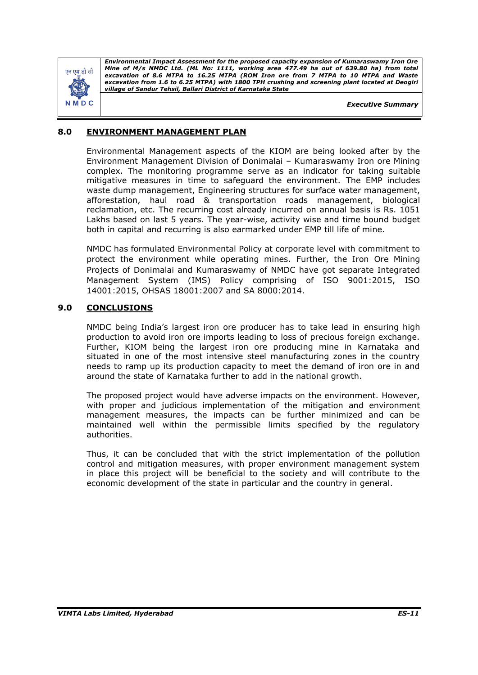

*Executive Summary*

## **8.0 ENVIRONMENT MANAGEMENT PLAN**

Environmental Management aspects of the KIOM are being looked after by the Environment Management Division of Donimalai – Kumaraswamy Iron ore Mining complex. The monitoring programme serve as an indicator for taking suitable mitigative measures in time to safeguard the environment. The EMP includes waste dump management, Engineering structures for surface water management, afforestation, haul road & transportation roads management, biological reclamation, etc. The recurring cost already incurred on annual basis is Rs. 1051 Lakhs based on last 5 years. The year-wise, activity wise and time bound budget both in capital and recurring is also earmarked under EMP till life of mine.

NMDC has formulated Environmental Policy at corporate level with commitment to protect the environment while operating mines. Further, the Iron Ore Mining Projects of Donimalai and Kumaraswamy of NMDC have got separate Integrated Management System (IMS) Policy comprising of ISO 9001:2015, ISO 14001:2015, OHSAS 18001:2007 and SA 8000:2014.

## **9.0 CONCLUSIONS**

NMDC being India's largest iron ore producer has to take lead in ensuring high production to avoid iron ore imports leading to loss of precious foreign exchange. Further, KIOM being the largest iron ore producing mine in Karnataka and situated in one of the most intensive steel manufacturing zones in the country needs to ramp up its production capacity to meet the demand of iron ore in and around the state of Karnataka further to add in the national growth.

The proposed project would have adverse impacts on the environment. However, with proper and judicious implementation of the mitigation and environment management measures, the impacts can be further minimized and can be maintained well within the permissible limits specified by the regulatory authorities.

Thus, it can be concluded that with the strict implementation of the pollution control and mitigation measures, with proper environment management system in place this project will be beneficial to the society and will contribute to the economic development of the state in particular and the country in general.